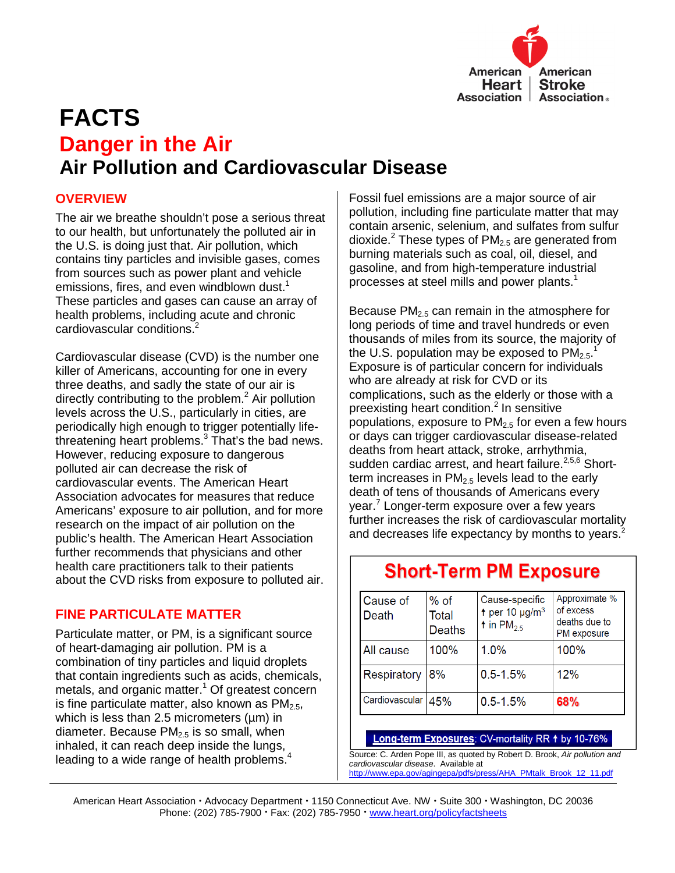

# **FACTS Danger in the Air Air Pollution and Cardiovascular Disease**

# **OVERVIEW**

The air we breathe shouldn't pose a serious threat to our health, but unfortunately the polluted air in the U.S. is doing just that. Air pollution, which contains tiny particles and invisible gases, comes from sources such as power plant and vehicle emissions, fires, and even windblown dust.<sup>1</sup> These particles and gases can cause an array of health problems, including acute and chronic cardiovascular conditions.<sup>2</sup>

Cardiovascular disease (CVD) is the number one killer of Americans, accounting for one in every three deaths, and sadly the state of our air is directly contributing to the problem.<sup>2</sup> Air pollution levels across the U.S., particularly in cities, are periodically high enough to trigger potentially lifethreatening heart problems. $3$  That's the bad news. However, reducing exposure to dangerous polluted air can decrease the risk of cardiovascular events. The American Heart Association advocates for measures that reduce Americans' exposure to air pollution, and for more research on the impact of air pollution on the public's health. The American Heart Association further recommends that physicians and other health care practitioners talk to their patients about the CVD risks from exposure to polluted air.

# **FINE PARTICULATE MATTER**

Particulate matter, or PM, is a significant source of heart-damaging air pollution. PM is a combination of tiny particles and liquid droplets that contain ingredients such as acids, chemicals, metals, and organic matter.<sup>1</sup> Of greatest concern is fine particulate matter, also known as  $PM<sub>2.5</sub>$ , which is less than 2.5 micrometers  $(\mu m)$  in diameter. Because  $PM<sub>2.5</sub>$  is so small, when inhaled, it can reach deep inside the lungs, leading to a wide range of health problems.<sup>4</sup>

Fossil fuel emissions are a major source of air pollution, including fine particulate matter that may contain arsenic, selenium, and sulfates from sulfur dioxide.<sup>2</sup> These types of  $PM_{2.5}$  are generated from burning materials such as coal, oil, diesel, and gasoline, and from high-temperature industrial processes at steel mills and power plants.<sup>1</sup>

Because  $PM_{2.5}$  can remain in the atmosphere for long periods of time and travel hundreds or even thousands of miles from its source, the majority of the U.S. population may be exposed to  $PM_{2.5}.^1$ Exposure is of particular concern for individuals who are already at risk for CVD or its complications, such as the elderly or those with a preexisting heart condition.<sup>2</sup> In sensitive populations, exposure to  $PM<sub>2.5</sub>$  for even a few hours or days can trigger cardiovascular disease-related deaths from heart attack, stroke, arrhythmia, sudden cardiac arrest, and heart failure.<sup>2,5,6</sup> Shortterm increases in  $PM<sub>2.5</sub>$  levels lead to the early death of tens of thousands of Americans every year.<sup>7</sup> Longer-term exposure over a few years further increases the risk of cardiovascular mortality and decreases life expectancy by months to years.<sup>2</sup>

# **Short-Term PM Exposure**

| Cause of<br>Death | $%$ of<br>Total<br><b>Deaths</b> | Cause-specific<br>t per 10 $\mu$ g/m <sup>3</sup><br>t in $PM_{2.5}$ | Approximate %<br>of excess<br>deaths due to<br>PM exposure |
|-------------------|----------------------------------|----------------------------------------------------------------------|------------------------------------------------------------|
| All cause         | 100%                             | $1.0\%$                                                              | 100%                                                       |
| Respiratory       | 8%                               | $0.5 - 1.5%$                                                         | 12%                                                        |
| Cardiovascular    | 45%                              | $0.5 - 1.5%$                                                         | 68%                                                        |

#### Long-term Exposures: CV-mortality RR 1 by 10-76%

Source: C. Arden Pope III, as quoted by Robert D. Brook, Air pollution and cardiovascular disease. Available at http://www.epa.gov/agingepa/pdfs/press/AHA\_PMtalk\_Brook\_12\_11.pdf